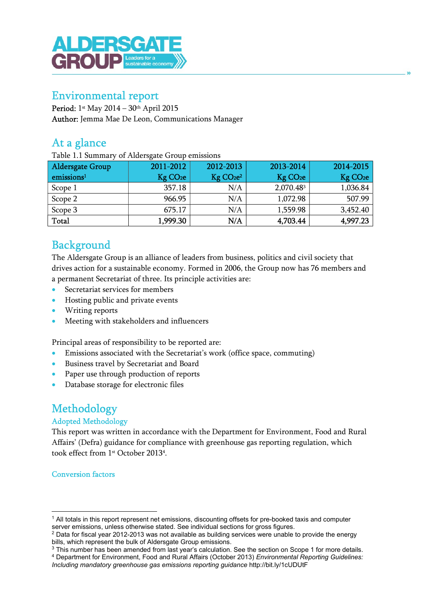

# Environmental report

Period: 1st May 2014 – 30th April 2015 Author: Jemma Mae De Leon, Communications Manager

# At a glance

Table 1.1 Summary of Aldersgate Group emissions

| <b>Aldersgate Group</b> | 2011-2012            | 2012-2013                         | 2013-2014            | 2014-2015            |
|-------------------------|----------------------|-----------------------------------|----------------------|----------------------|
| emissions <sup>1</sup>  | Kg CO <sub>2</sub> e | Kg CO <sub>2</sub> e <sup>2</sup> | Kg CO <sub>2</sub> e | Kg CO <sub>2</sub> e |
| Scope 1                 | 357.18               | N/A                               | 2,070.483            | 1,036.84             |
| Scope 2                 | 966.95               | N/A                               | 1,072.98             | 507.99               |
| Scope 3                 | 675.17               | N/A                               | 1,559.98             | 3,452.40             |
| Total                   | 1,999.30             | N/A                               | 4,703.44             | 4,997.23             |

# **Background**

The Aldersgate Group is an alliance of leaders from business, politics and civil society that drives action for a sustainable economy. Formed in 2006, the Group now has 76 members and a permanent Secretariat of three. Its principle activities are:

- Secretariat services for members
- **•** Hosting public and private events
- Writing reports
- Meeting with stakeholders and influencers

Principal areas of responsibility to be reported are:

- Emissions associated with the Secretariat's work (office space, commuting)
- Business travel by Secretariat and Board
- Paper use through production of reports
- Database storage for electronic files

# Methodology

#### Adopted Methodology

This report was written in accordance with the Department for Environment, Food and Rural Affairs' (Defra) guidance for compliance with greenhouse gas reporting regulation, which took effect from 1<sup>st</sup> October 2013<sup>4</sup>.

Conversion factors

<sup>1</sup> All totals in this report represent net emissions, discounting offsets for pre-booked taxis and computer server emissions, unless otherwise stated. See individual sections for gross figures.

 $^2$  Data for fiscal year 2012-2013 was not available as building services were unable to provide the energy bills, which represent the bulk of Aldersgate Group emissions.

 $3$  This number has been amended from last year's calculation. See the section on Scope 1 for more details. 4 Department for Environment, Food and Rural Affairs (October 2013) Environmental Reporting Guidelines:

Including mandatory greenhouse gas emissions reporting guidance http://bit.ly/1cUDUtF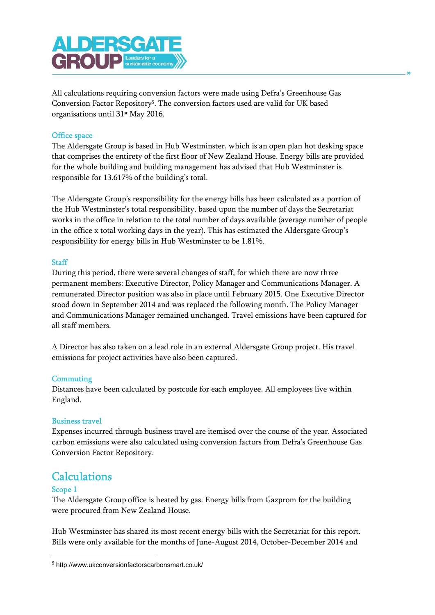

All calculations requiring conversion factors were made using Defra's Greenhouse Gas Conversion Factor Repository<sup>5</sup>. The conversion factors used are valid for UK based organisations until 31st May 2016.

#### Office space

The Aldersgate Group is based in Hub Westminster, which is an open plan hot desking space that comprises the entirety of the first floor of New Zealand House. Energy bills are provided for the whole building and building management has advised that Hub Westminster is responsible for 13.617% of the building's total.

The Aldersgate Group's responsibility for the energy bills has been calculated as a portion of the Hub Westminster's total responsibility, based upon the number of days the Secretariat works in the office in relation to the total number of days available (average number of people in the office x total working days in the year). This has estimated the Aldersgate Group's responsibility for energy bills in Hub Westminster to be 1.81%.

#### **Staff**

During this period, there were several changes of staff, for which there are now three permanent members: Executive Director, Policy Manager and Communications Manager. A remunerated Director position was also in place until February 2015. One Executive Director stood down in September 2014 and was replaced the following month. The Policy Manager and Communications Manager remained unchanged. Travel emissions have been captured for all staff members.

A Director has also taken on a lead role in an external Aldersgate Group project. His travel emissions for project activities have also been captured.

#### **Commuting**

Distances have been calculated by postcode for each employee. All employees live within England.

#### Business travel

Expenses incurred through business travel are itemised over the course of the year. Associated carbon emissions were also calculated using conversion factors from Defra's Greenhouse Gas Conversion Factor Repository.

## **Calculations**

#### Scope 1

The Aldersgate Group office is heated by gas. Energy bills from Gazprom for the building were procured from New Zealand House.

Hub Westminster has shared its most recent energy bills with the Secretariat for this report. Bills were only available for the months of June-August 2014, October-December 2014 and

<sup>5</sup> http://www.ukconversionfactorscarbonsmart.co.uk/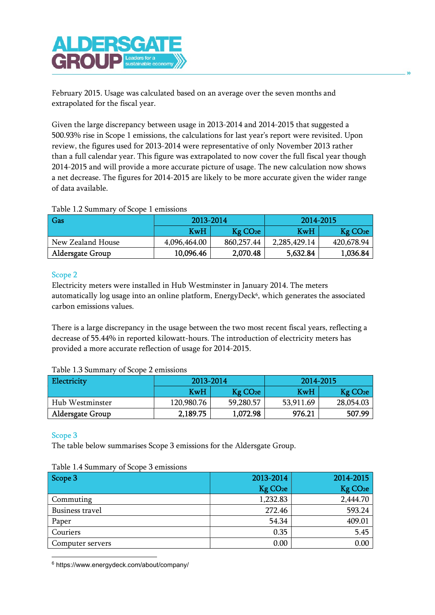

February 2015. Usage was calculated based on an average over the seven months and extrapolated for the fiscal year.

Given the large discrepancy between usage in 2013-2014 and 2014-2015 that suggested a 500.93% rise in Scope 1 emissions, the calculations for last year's report were revisited. Upon review, the figures used for 2013-2014 were representative of only November 2013 rather than a full calendar year. This figure was extrapolated to now cover the full fiscal year though 2014-2015 and will provide a more accurate picture of usage. The new calculation now shows a net decrease. The figures for 2014-2015 are likely to be more accurate given the wider range of data available.

#### Table 1.2 Summary of Scope 1 emissions

| Gas                     | 2013-2014    |                        | 2014-2015    |                      |
|-------------------------|--------------|------------------------|--------------|----------------------|
|                         | KwH          | $Kg$ CO <sub>2</sub> e | KwH          | Kg CO <sub>2</sub> e |
| New Zealand House       | 4,096,464.00 | 860,257.44             | 2,285,429.14 | 420,678.94           |
| <b>Aldersgate Group</b> | 10,096.46    | 2,070.48               | 5,632.84     | 1,036.84             |

#### Scope 2

Electricity meters were installed in Hub Westminster in January 2014. The meters automatically log usage into an online platform, EnergyDeck<sup>6</sup>, which generates the associated carbon emissions values.

There is a large discrepancy in the usage between the two most recent fiscal years, reflecting a decrease of 55.44% in reported kilowatt-hours. The introduction of electricity meters has provided a more accurate reflection of usage for 2014-2015.

| Table 1.9 Julillial v Of Jeope 2 Chilissions |            |                        |           |                        |  |  |  |
|----------------------------------------------|------------|------------------------|-----------|------------------------|--|--|--|
| <b>Electricity</b>                           | 2013-2014  |                        | 2014-2015 |                        |  |  |  |
|                                              | <b>KwH</b> | $Kg$ CO <sub>2</sub> e | KwH       | $Kg$ CO <sub>2</sub> e |  |  |  |
| Hub Westminster                              | 120,980.76 | 59,280.57              | 53,911.69 | 28,054.03              |  |  |  |
| <b>Aldersgate Group</b>                      | 2,189.75   | 1,072.98               | 976.21    | 507.99                 |  |  |  |

#### Table 1.3 Summary of Scope 2 emissions

### Scope 3

The table below summarises Scope 3 emissions for the Aldersgate Group.

#### Table 1.4 Summary of Scope 3 emissions

| Scope 3          | 2013-2014            | 2014-2015            |
|------------------|----------------------|----------------------|
|                  | Kg CO <sub>2</sub> e | Kg CO <sub>2</sub> e |
| Commuting        | 1,232.83             | 2,444.70             |
| Business travel  | 272.46               | 593.24               |
| Paper            | 54.34                | 409.01               |
| Couriers         | 0.35                 | 5.45                 |
| Computer servers | 0.00                 | 0.00                 |

<sup>6</sup> https://www.energydeck.com/about/company/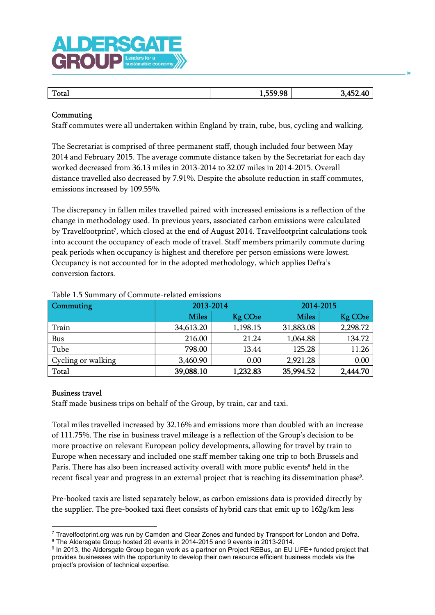

| Total | 559.98<br>1,337.30 | E9.<br>лſ |
|-------|--------------------|-----------|
|       |                    |           |

#### Commuting

Staff commutes were all undertaken within England by train, tube, bus, cycling and walking.

The Secretariat is comprised of three permanent staff, though included four between May 2014 and February 2015. The average commute distance taken by the Secretariat for each day worked decreased from 36.13 miles in 2013-2014 to 32.07 miles in 2014-2015. Overall distance travelled also decreased by 7.91%. Despite the absolute reduction in staff commutes, emissions increased by 109.55%.

The discrepancy in fallen miles travelled paired with increased emissions is a reflection of the change in methodology used. In previous years, associated carbon emissions were calculated by Travelfootprint<sup>7</sup>, which closed at the end of August 2014. Travelfootprint calculations took into account the occupancy of each mode of travel. Staff members primarily commute during peak periods when occupancy is highest and therefore per person emissions were lowest. Occupancy is not accounted for in the adopted methodology, which applies Defra's conversion factors.

| Commuting          | 2013-2014    |                      | 2014-2015    |                      |
|--------------------|--------------|----------------------|--------------|----------------------|
|                    | <b>Miles</b> | Kg CO <sub>2</sub> e | <b>Miles</b> | Kg CO <sub>2</sub> e |
| Train              | 34,613.20    | 1,198.15             | 31,883.08    | 2,298.72             |
| <b>Bus</b>         | 216.00       | 21.24                | 1,064.88     | 134.72               |
| Tube               | 798.00       | 13.44                | 125.28       | 11.26                |
| Cycling or walking | 3,460.90     | 0.00                 | 2,921.28     | 0.00                 |
| <b>Total</b>       | 39,088.10    | 1,232.83             | 35,994.52    | 2,444.70             |

#### Table 1.5 Summary of Commute-related emissions

#### Business travel

Staff made business trips on behalf of the Group, by train, car and taxi.

Total miles travelled increased by 32.16% and emissions more than doubled with an increase of 111.75%. The rise in business travel mileage is a reflection of the Group's decision to be more proactive on relevant European policy developments, allowing for travel by train to Europe when necessary and included one staff member taking one trip to both Brussels and Paris. There has also been increased activity overall with more public events<sup>8</sup> held in the recent fiscal year and progress in an external project that is reaching its dissemination phase<sup>9</sup>.

Pre-booked taxis are listed separately below, as carbon emissions data is provided directly by the supplier. The pre-booked taxi fleet consists of hybrid cars that emit up to 162g/km less

<sup>7</sup> Travelfootprint.org was run by Camden and Clear Zones and funded by Transport for London and Defra. <sup>8</sup> The Aldersgate Group hosted 20 events in 2014-2015 and 9 events in 2013-2014.

<sup>&</sup>lt;sup>9</sup> In 2013, the Aldersgate Group began work as a partner on Project REBus, an EU LIFE+ funded project that provides businesses with the opportunity to develop their own resource efficient business models via the project's provision of technical expertise.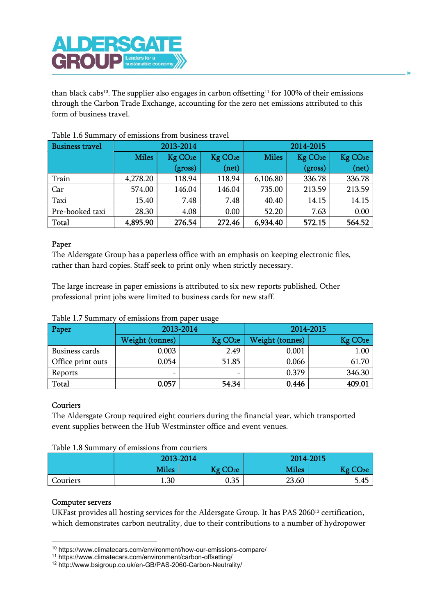

than black cabs<sup>10</sup>. The supplier also engages in carbon offsetting<sup>11</sup> for 100% of their emissions through the Carbon Trade Exchange, accounting for the zero net emissions attributed to this form of business travel.

| <b>Business travel</b> | 2013-2014    |                      |                      | 2014-2015    |                      |                      |
|------------------------|--------------|----------------------|----------------------|--------------|----------------------|----------------------|
|                        | <b>Miles</b> | Kg CO <sub>2</sub> e | Kg CO <sub>2</sub> e | <b>Miles</b> | Kg CO <sub>2</sub> e | Kg CO <sub>2</sub> e |
|                        |              | (gross)              | (net)                |              | (gross)              | (net)                |
| Train                  | 4,278.20     | 118.94               | 118.94               | 6,106.80     | 336.78               | 336.78               |
| Car                    | 574.00       | 146.04               | 146.04               | 735.00       | 213.59               | 213.59               |
| Taxi                   | 15.40        | 7.48                 | 7.48                 | 40.40        | 14.15                | 14.15                |
| Pre-booked taxi        | 28.30        | 4.08                 | 0.00                 | 52.20        | 7.63                 | 0.00                 |
| Total                  | 4,895.90     | 276.54               | 272.46               | 6,934.40     | 572.15               | 564.52               |

#### Table 1.6 Summary of emissions from business travel

#### Paper

The Aldersgate Group has a paperless office with an emphasis on keeping electronic files, rather than hard copies. Staff seek to print only when strictly necessary.

The large increase in paper emissions is attributed to six new reports published. Other professional print jobs were limited to business cards for new staff.

| Paper             | 2013-2014              |                      | 2014-2015       |                      |
|-------------------|------------------------|----------------------|-----------------|----------------------|
|                   | <b>Weight (tonnes)</b> | Kg CO <sub>2</sub> e | Weight (tonnes) | Kg CO <sub>2</sub> e |
| Business cards    | 0.003                  | 2.49                 | 0.001           | 1.00                 |
| Office print outs | 0.054                  | 51.85                | 0.066           | 61.70                |
| Reports           |                        | -                    | 0.379           | 346.30               |
| Total             | 0.057                  | 54.34                | 0.446           | 409.01               |

#### Couriers

The Aldersgate Group required eight couriers during the financial year, which transported event supplies between the Hub Westminster office and event venues.

| Table 1.8 Summary of emissions from couriers |  |  |
|----------------------------------------------|--|--|
|----------------------------------------------|--|--|

|          | 2013-2014    |                      | 2014-2015 |                      |
|----------|--------------|----------------------|-----------|----------------------|
|          | <b>Miles</b> | Kg CO <sub>2</sub> e | Miles     | Kg CO <sub>2</sub> e |
| Couriers | 1.30         | 0.35                 | 23.60     | 5.45                 |

#### Computer servers

UKFast provides all hosting services for the Aldersgate Group. It has PAS 2060<sup>12</sup> certification, which demonstrates carbon neutrality, due to their contributions to a number of hydropower

<sup>10</sup> https://www.climatecars.com/environment/how-our-emissions-compare/

<sup>11</sup> https://www.climatecars.com/environment/carbon-offsetting/

<sup>12</sup> http://www.bsigroup.co.uk/en-GB/PAS-2060-Carbon-Neutrality/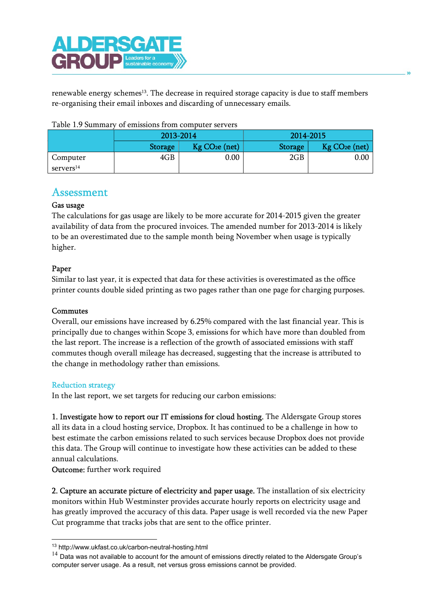

renewable energy schemes<sup>13</sup>. The decrease in required storage capacity is due to staff members re-organising their email inboxes and discarding of unnecessary emails.

|                       | 2013-2014      |                              | 2014-2015      |                            |
|-----------------------|----------------|------------------------------|----------------|----------------------------|
|                       | <b>Storage</b> | $Kg$ CO <sub>2</sub> e (net) | <b>Storage</b> | Kg CO <sub>2</sub> e (net) |
| Computer              | 4GB            | $0.00\,$                     | 2GB            | 0.00                       |
| servers <sup>14</sup> |                |                              |                |                            |

| Table 1.9 Summary of emissions from computer servers |  |
|------------------------------------------------------|--|
|                                                      |  |

## Assessment

#### Gas usage

The calculations for gas usage are likely to be more accurate for 2014-2015 given the greater availability of data from the procured invoices. The amended number for 2013-2014 is likely to be an overestimated due to the sample month being November when usage is typically higher.

### Paper

Similar to last year, it is expected that data for these activities is overestimated as the office printer counts double sided printing as two pages rather than one page for charging purposes.

#### Commutes

Overall, our emissions have increased by 6.25% compared with the last financial year. This is principally due to changes within Scope 3, emissions for which have more than doubled from the last report. The increase is a reflection of the growth of associated emissions with staff commutes though overall mileage has decreased, suggesting that the increase is attributed to the change in methodology rather than emissions.

#### Reduction strategy

In the last report, we set targets for reducing our carbon emissions:

1. Investigate how to report our IT emissions for cloud hosting. The Aldersgate Group stores all its data in a cloud hosting service, Dropbox. It has continued to be a challenge in how to best estimate the carbon emissions related to such services because Dropbox does not provide this data. The Group will continue to investigate how these activities can be added to these annual calculations.

Outcome: further work required

2. Capture an accurate picture of electricity and paper usage. The installation of six electricity monitors within Hub Westminster provides accurate hourly reports on electricity usage and has greatly improved the accuracy of this data. Paper usage is well recorded via the new Paper Cut programme that tracks jobs that are sent to the office printer.

<sup>13</sup> http://www.ukfast.co.uk/carbon-neutral-hosting.html

 $14$  Data was not available to account for the amount of emissions directly related to the Aldersgate Group's computer server usage. As a result, net versus gross emissions cannot be provided.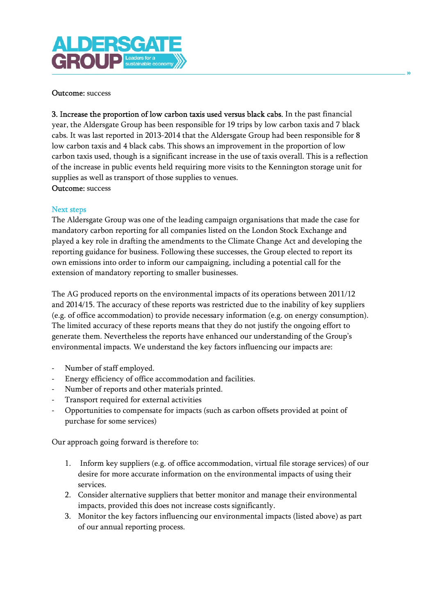#### Outcome: success

3. Increase the proportion of low carbon taxis used versus black cabs. In the past financial year, the Aldersgate Group has been responsible for 19 trips by low carbon taxis and 7 black cabs. It was last reported in 2013-2014 that the Aldersgate Group had been responsible for 8 low carbon taxis and 4 black cabs. This shows an improvement in the proportion of low carbon taxis used, though is a significant increase in the use of taxis overall. This is a reflection of the increase in public events held requiring more visits to the Kennington storage unit for supplies as well as transport of those supplies to venues. Outcome: success

#### Next steps

The Aldersgate Group was one of the leading campaign organisations that made the case for mandatory carbon reporting for all companies listed on the London Stock Exchange and played a key role in drafting the amendments to the Climate Change Act and developing the reporting guidance for business. Following these successes, the Group elected to report its own emissions into order to inform our campaigning, including a potential call for the extension of mandatory reporting to smaller businesses.

The AG produced reports on the environmental impacts of its operations between 2011/12 and 2014/15. The accuracy of these reports was restricted due to the inability of key suppliers (e.g. of office accommodation) to provide necessary information (e.g. on energy consumption). The limited accuracy of these reports means that they do not justify the ongoing effort to generate them. Nevertheless the reports have enhanced our understanding of the Group's environmental impacts. We understand the key factors influencing our impacts are:

- Number of staff employed.
- Energy efficiency of office accommodation and facilities.
- Number of reports and other materials printed.
- Transport required for external activities
- Opportunities to compensate for impacts (such as carbon offsets provided at point of purchase for some services)

Our approach going forward is therefore to:

- 1. Inform key suppliers (e.g. of office accommodation, virtual file storage services) of our desire for more accurate information on the environmental impacts of using their services.
- 2. Consider alternative suppliers that better monitor and manage their environmental impacts, provided this does not increase costs significantly.
- 3. Monitor the key factors influencing our environmental impacts (listed above) as part of our annual reporting process.